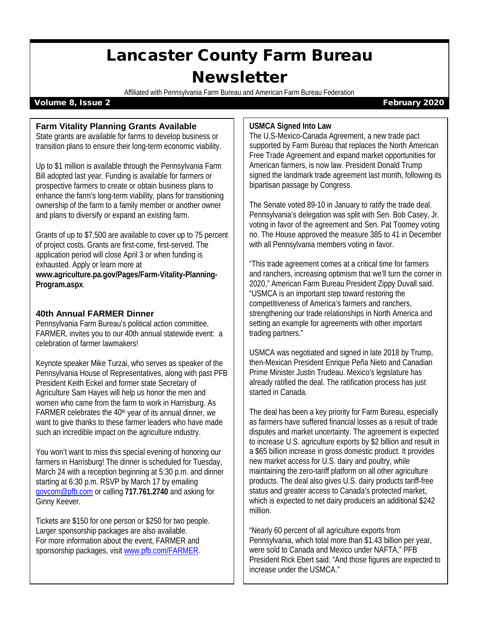# Lancaster County Farm Bureau **Newsletter**

Affiliated with Pennsylvania Farm Bureau and American Farm Bureau Federation

#### Volume 8, Issue 2 February 2020

#### **Farm Vitality Planning Grants Available**

State grants are available for farms to develop business or transition plans to ensure their long-term economic viability.

Up to \$1 million is available through the Pennsylvania Farm Bill adopted last year. Funding is available for farmers or prospective farmers to create or obtain business plans to enhance the farm's long-term viability, plans for transitioning ownership of the farm to a family member or another owner and plans to diversify or expand an existing farm.

Grants of up to \$7,500 are available to cover up to 75 percent of project costs. Grants are first-come, first-served. The application period will close April 3 or when funding is exhausted. Apply or learn more at **www.agriculture.pa.gov/Pages/Farm-Vitality-Planning-Program.aspx**.

### **40th Annual FARMER Dinner**

Pennsylvania Farm Bureau's political action committee, FARMER, invites you to our 40th annual statewide event: a celebration of farmer lawmakers!

Keynote speaker Mike Turzai, who serves as speaker of the Pennsylvania House of Representatives, along with past PFB President Keith Eckel and former state Secretary of Agriculture Sam Hayes will help us honor the men and women who came from the farm to work in Harrisburg. As FARMER celebrates the 40<sup>th</sup> year of its annual dinner, we want to give thanks to these farmer leaders who have made such an incredible impact on the agriculture industry.

You won't want to miss this special evening of honoring our farmers in Harrisburg! The dinner is scheduled for Tuesday, March 24 with a reception beginning at 5:30 p.m. and dinner starting at 6:30 p.m. RSVP by March 17 by emailing [govcom@pfb.com](mailto:govcom@pfb.com) or calling **717.761.2740** and asking for Ginny Keever.

Tickets are \$150 for one person or \$250 for two people. Larger sponsorship packages are also available. For more information about the event, FARMER and sponsorship packages, visi[t www.pfb.com/FARMER.](http://www.pfb.com/FARMER)

#### **USMCA Signed Into Law**

The U.S-Mexico-Canada Agreement, a new trade pact supported by Farm Bureau that replaces the North American Free Trade Agreement and expand market opportunities for American farmers, is now law. President Donald Trump signed the landmark trade agreement last month, following its bipartisan passage by Congress.

The Senate voted 89-10 in January to ratify the trade deal. Pennsylvania's delegation was split with Sen. Bob Casey, Jr. voting in favor of the agreement and Sen. Pat Toomey voting no. The House approved the measure 385 to 41 in December with all Pennsylvania members voting in favor.

"This trade agreement comes at a critical time for farmers and ranchers, increasing optimism that we'll turn the corner in 2020," American Farm Bureau President Zippy Duvall said. "USMCA is an important step toward restoring the competitiveness of America's farmers and ranchers, strengthening our trade relationships in North America and setting an example for agreements with other important trading partners."

USMCA was negotiated and signed in late 2018 by Trump, then-Mexican President Enrique Peña Nieto and Canadian Prime Minister Justin Trudeau. Mexico's legislature has already ratified the deal. The ratification process has just started in Canada.

The deal has been a key priority for Farm Bureau, especially as farmers have suffered financial losses as a result of trade disputes and market uncertainty. The agreement is expected to increase U.S. agriculture exports by \$2 billion and result in a \$65 billion increase in gross domestic product. It provides new market access for U.S. dairy and poultry, while maintaining the zero-tariff platform on all other agriculture products. The deal also gives U.S. dairy products tariff-free status and greater access to Canada's protected market, which is expected to net dairy producers an additional \$242 million.

"Nearly 60 percent of all agriculture exports from Pennsylvania, which total more than \$1.43 billion per year, were sold to Canada and Mexico under NAFTA," PFB President Rick Ebert said. "And those figures are expected to increase under the USMCA."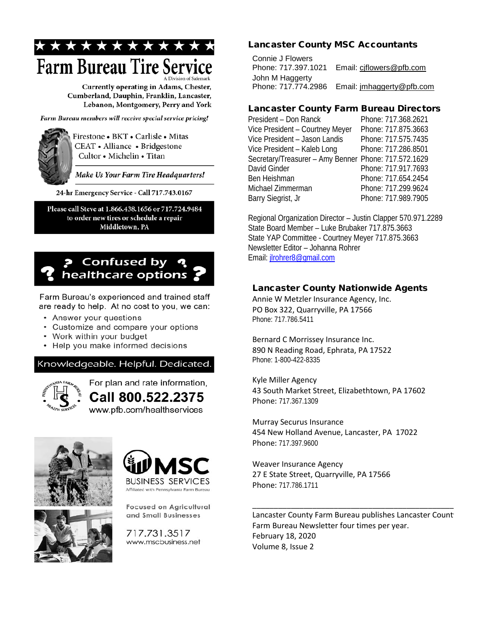

Currently operating in Adams, Chester, Cumberland, Dauphin, Franklin, Lancaster, Lebanon, Montgomery, Perry and York

Farm Bureau members will receive special service pricing!



Firestone • BKT • Carlisle • Mitas CEAT • Alliance • Bridgestone Cultor • Michelin • Titan

Make Us Your Farm Tire Headquarters!

24-hr Emergency Service - Call 717.743.0167

Please call Steve at 1.866.438.1656 or 717.724.9484 to order new tires or schedule a repair Middletown, PA

## **P** Confused by healthcare options

Farm Bureau's experienced and trained staff are ready to help. At no cost to you, we can:

- Answer your questions
- Customize and compare your options
- Work within your budget
- Help you make informed decisions

Knowledgeable. Helpful. Dedicated.



For plan and rate information, Call 800.522.2375 www.pfb.com/healthservices







**Focused on Agricultural** and Small Businesses

717.731.3517 www.mscbusiness.net

### Lancaster County MSC Accountants

Connie J Flowers Phone: 717.397.1021 Email: [cjflowers@pfb.com](mailto:cjflowers@pfb.com) John M Haggerty Phone: 717.774.2986 Email: [jmhaggerty@pfb.com](mailto:jmhaggerty@pfb.com)

## Lancaster County Farm Bureau Directors

| President - Don Ranck                                | Phone: 717.368.2621 |
|------------------------------------------------------|---------------------|
| Vice President - Courtney Meyer                      | Phone: 717.875.3663 |
| Vice President - Jason Landis                        | Phone: 717.575.7435 |
| Vice President - Kaleb Long                          | Phone: 717.286.8501 |
| Secretary/Treasurer - Amy Benner Phone: 717.572.1629 |                     |
| David Ginder                                         | Phone: 717.917.7693 |
| Ben Heishman                                         | Phone: 717.654.2454 |
| Michael Zimmerman                                    | Phone: 717.299.9624 |
| Barry Siegrist, Jr                                   | Phone: 717.989.7905 |

Regional Organization Director – Justin Clapper 570.971.2289 State Board Member – Luke Brubaker 717.875.3663 State YAP Committee - Courtney Meyer 717.875.3663 Newsletter Editor – Johanna Rohrer Email: [jlrohrer8@gmail.com](mailto:jlrohrer8@gmail.com)

## Lancaster County Nationwide Agents

Annie W Metzler Insurance Agency, Inc. PO Box 322, Quarryville, PA 17566 Phone: 717.786.5411

Bernard C Morrissey Insurance Inc. 890 N Reading Road, Ephrata, PA 17522 Phone: 1-800-422-8335

Kyle Miller Agency 43 South Market Street, Elizabethtown, PA 17602 Phone: 717.367.1309

Murray Securus Insurance 454 New Holland Avenue, Lancaster, PA 17022 Phone: 717.397.9600

Weaver Insurance Agency 27 E State Street, Quarryville, PA 17566 Phone: 717.786.1711

Lancaster County Farm Bureau publishes Lancaster Count Farm Bureau Newsletter four times per year. February 18, 2020 Volume 8, Issue 2

\_\_\_\_\_\_\_\_\_\_\_\_\_\_\_\_\_\_\_\_\_\_\_\_\_\_\_\_\_\_\_\_\_\_\_\_\_\_\_\_\_\_\_\_\_\_\_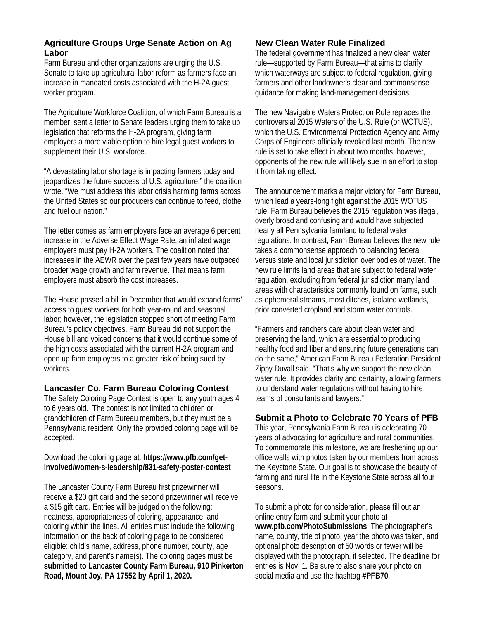#### **Agriculture Groups Urge Senate Action on Ag Labor**

Farm Bureau and other organizations are urging the U.S. Senate to take up agricultural labor reform as farmers face an increase in mandated costs associated with the H-2A guest worker program.

The Agriculture Workforce Coalition, of which Farm Bureau is a member, sent a letter to Senate leaders urging them to take up legislation that reforms the H-2A program, giving farm employers a more viable option to hire legal guest workers to supplement their U.S. workforce.

"A devastating labor shortage is impacting farmers today and jeopardizes the future success of U.S. agriculture," the coalition wrote. "We must address this labor crisis harming farms across the United States so our producers can continue to feed, clothe and fuel our nation."

The letter comes as farm employers face an average 6 percent increase in the Adverse Effect Wage Rate, an inflated wage employers must pay H-2A workers. The coalition noted that increases in the AEWR over the past few years have outpaced broader wage growth and farm revenue. That means farm employers must absorb the cost increases.

The House passed a bill in December that would expand farms' access to guest workers for both year-round and seasonal labor; however, the legislation stopped short of meeting Farm Bureau's policy objectives. Farm Bureau did not support the House bill and voiced concerns that it would continue some of the high costs associated with the current H-2A program and open up farm employers to a greater risk of being sued by workers.

#### **Lancaster Co. Farm Bureau Coloring Contest**

The Safety Coloring Page Contest is open to any youth ages 4 to 6 years old. The contest is not limited to children or grandchildren of Farm Bureau members, but they must be a Pennsylvania resident. Only the provided coloring page will be accepted.

#### Download the coloring page at: **https://www.pfb.com/getinvolved/women-s-leadership/831-safety-poster-contest**

The Lancaster County Farm Bureau first prizewinner will receive a \$20 gift card and the second prizewinner will receive a \$15 gift card. Entries will be judged on the following: neatness, appropriateness of coloring, appearance, and coloring within the lines. All entries must include the following information on the back of coloring page to be considered eligible: child's name, address, phone number, county, age category, and parent's name(s). The coloring pages must be **submitted to Lancaster County Farm Bureau, 910 Pinkerton Road, Mount Joy, PA 17552 by April 1, 2020.** 

## **New Clean Water Rule Finalized**

The federal government has finalized a new clean water rule—supported by Farm Bureau—that aims to clarify which waterways are subject to federal regulation, giving farmers and other landowner's clear and commonsense guidance for making land-management decisions.

The new Navigable Waters Protection Rule replaces the controversial 2015 Waters of the U.S. Rule (or WOTUS), which the U.S. Environmental Protection Agency and Army Corps of Engineers officially revoked last month. The new rule is set to take effect in about two months; however, opponents of the new rule will likely sue in an effort to stop it from taking effect.

The announcement marks a major victory for Farm Bureau, which lead a years-long fight against the 2015 WOTUS rule. Farm Bureau believes the 2015 regulation was illegal, overly broad and confusing and would have subjected nearly all Pennsylvania farmland to federal water regulations. In contrast, Farm Bureau believes the new rule takes a commonsense approach to balancing federal versus state and local jurisdiction over bodies of water. The new rule limits land areas that are subject to federal water regulation, excluding from federal jurisdiction many land areas with characteristics commonly found on farms, such as ephemeral streams, most ditches, isolated wetlands, prior converted cropland and storm water controls.

"Farmers and ranchers care about clean water and preserving the land, which are essential to producing healthy food and fiber and ensuring future generations can do the same," American Farm Bureau Federation President Zippy Duvall said. "That's why we support the new clean water rule. It provides clarity and certainty, allowing farmers to understand water regulations without having to hire teams of consultants and lawyers."

#### **Submit a Photo to Celebrate 70 Years of PFB**

This year, Pennsylvania Farm Bureau is celebrating 70 years of advocating for agriculture and rural communities. To commemorate this milestone, we are freshening up our office walls with photos taken by our members from across the Keystone State. Our goal is to showcase the beauty of farming and rural life in the Keystone State across all four seasons.

To submit a photo for consideration, please fill out an online entry form and submit your photo at **www.pfb.com/PhotoSubmissions**. The photographer's name, county, title of photo, year the photo was taken, and optional photo description of 50 words or fewer will be displayed with the photograph, if selected. The deadline for entries is Nov. 1. Be sure to also share your photo on social media and use the hashtag **#PFB70**.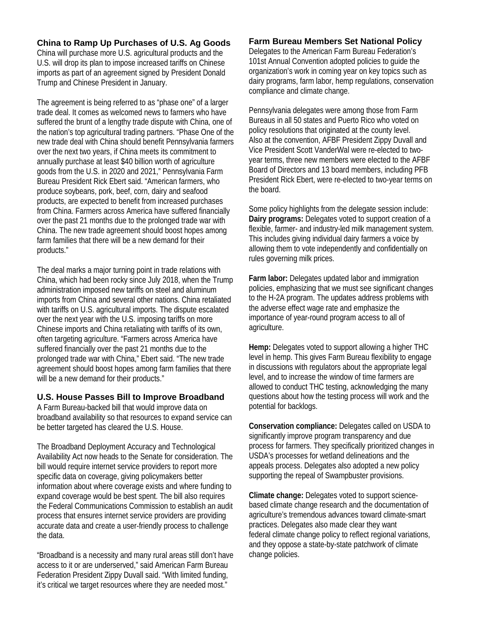#### **China to Ramp Up Purchases of U.S. Ag Goods**

China will purchase more U.S. agricultural products and the U.S. will drop its plan to impose increased tariffs on Chinese imports as part of an agreement signed by President Donald Trump and Chinese President in January.

The agreement is being referred to as "phase one" of a larger trade deal. It comes as welcomed news to farmers who have suffered the brunt of a lengthy trade dispute with China, one of the nation's top agricultural trading partners. "Phase One of the new trade deal with China should benefit Pennsylvania farmers over the next two years, if China meets its commitment to annually purchase at least \$40 billion worth of agriculture goods from the U.S. in 2020 and 2021," Pennsylvania Farm Bureau President Rick Ebert said. "American farmers, who produce soybeans, pork, beef, corn, dairy and seafood products, are expected to benefit from increased purchases from China. Farmers across America have suffered financially over the past 21 months due to the prolonged trade war with China. The new trade agreement should boost hopes among farm families that there will be a new demand for their products."

The deal marks a major turning point in trade relations with China, which had been rocky since July 2018, when the Trump administration imposed new tariffs on steel and aluminum imports from China and several other nations. China retaliated with tariffs on U.S. agricultural imports. The dispute escalated over the next year with the U.S. imposing tariffs on more Chinese imports and China retaliating with tariffs of its own, often targeting agriculture. "Farmers across America have suffered financially over the past 21 months due to the prolonged trade war with China," Ebert said. "The new trade agreement should boost hopes among farm families that there will be a new demand for their products."

#### **U.S. House Passes Bill to Improve Broadband**

A Farm Bureau-backed bill that would improve data on broadband availability so that resources to expand service can be better targeted has cleared the U.S. House.

The Broadband Deployment Accuracy and Technological Availability Act now heads to the Senate for consideration. The bill would require internet service providers to report more specific data on coverage, giving policymakers better information about where coverage exists and where funding to expand coverage would be best spent. The bill also requires the Federal Communications Commission to establish an audit process that ensures internet service providers are providing accurate data and create a user-friendly process to challenge the data.

"Broadband is a necessity and many rural areas still don't have access to it or are underserved," said American Farm Bureau Federation President Zippy Duvall said. "With limited funding, it's critical we target resources where they are needed most."

#### **Farm Bureau Members Set National Policy**

Delegates to the American Farm Bureau Federation's 101st Annual Convention adopted policies to guide the organization's work in coming year on key topics such as dairy programs, farm labor, hemp regulations, conservation compliance and climate change.

Pennsylvania delegates were among those from Farm Bureaus in all 50 states and Puerto Rico who voted on policy resolutions that originated at the county level. Also at the convention, AFBF President Zippy Duvall and Vice President Scott VanderWal were re-elected to twoyear terms, three new members were elected to the AFBF Board of Directors and 13 board members, including PFB President Rick Ebert, were re-elected to two-year terms on the board.

Some policy highlights from the delegate session include: **Dairy programs:** Delegates voted to support creation of a flexible, farmer- and industry-led milk management system. This includes giving individual dairy farmers a voice by allowing them to vote independently and confidentially on rules governing milk prices.

**Farm labor:** Delegates updated labor and immigration policies, emphasizing that we must see significant changes to the H-2A program. The updates address problems with the adverse effect wage rate and emphasize the importance of year-round program access to all of agriculture.

**Hemp:** Delegates voted to support allowing a higher THC level in hemp. This gives Farm Bureau flexibility to engage in discussions with regulators about the appropriate legal level, and to increase the window of time farmers are allowed to conduct THC testing, acknowledging the many questions about how the testing process will work and the potential for backlogs.

**Conservation compliance:** Delegates called on USDA to significantly improve program transparency and due process for farmers. They specifically prioritized changes in USDA's processes for wetland delineations and the appeals process. Delegates also adopted a new policy supporting the repeal of Swampbuster provisions.

**Climate change:** Delegates voted to support sciencebased climate change research and the documentation of agriculture's tremendous advances toward climate-smart practices. Delegates also made clear they want federal climate change policy to reflect regional variations, and they oppose a state-by-state patchwork of climate change policies.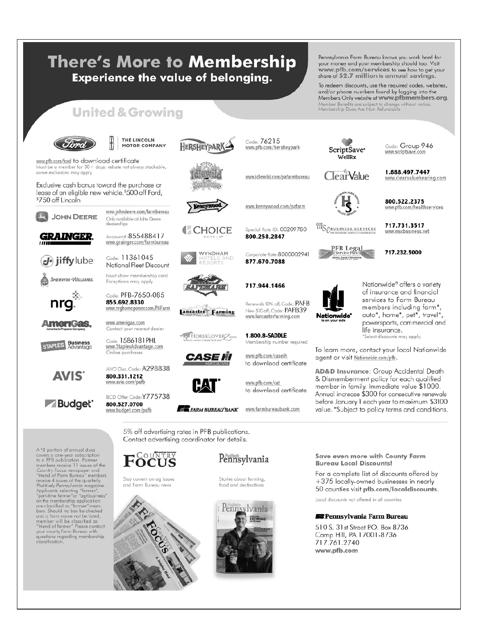# **There's More to Membership Experience the value of belonging.**

Pennsylvania Farm Bureau knows you work hard for your money and your membership should too. Visit www.pfb.com/services to see how to get your share of \$2.7 million in annual savings.

To redeem discounts, use the required codes, websites, and/or phone numbers found by logging into the Members Only website at www.pfbmembers.org. Member Benefits are subject to change without notice.<br>Membership Dues Are Non-Refundable

## **United & Growing**



**JOHN DEERE** 

GRAINGER

(d<sup>\*</sup>) jiffylube

SHERWIN-WILLIAMS.

**meriGas** 

STAPLES Business

AVIS<sup>®</sup>

some exclusions may apply

\$750 off Lincoln

www.pfb.com/ford to download certificate Must be a member for 30+ days; rebate not always stackable,

Exclusive cash bonus toward the purchase or lease of an eligible new vehicle.<sup>\$500</sup> off Ford,

#### **THE LINCOLN MOTOR COMPANY**

www.johndeere.com/farmbureau

Only available at John Deere<br>dealerships

Account#:855488417

Code: 11361045

Exceptions may apply

855.692.8330

Code: PFB-7650-085

www.grainger.com/farmbureau

National Fleet Discount Must show membership card

HERSHEYPARI



CHOICE

WYNDHAM

.<br>Nd

www.pfb.com/hersheypark

www.idlewild.com/pafarmbureau

www.kennywood.com/pafarm

Special Rate ID: 00209780

Corporate Rate: 8000002941

Renewals 10% off, Code:  $\mathsf{PAFB}$ 

New \$10 off, Code: PAFB39

www.lancasterfarming.com

www.pfb.com/caseih

www.pfb.com/cat

to download certificate

to download certificate

800.258.2847

877.670.7088

717.944.1466

Code: 76215

ScriptSave<sup>•</sup> WellRx

**ClearValue** 

Code: Group 946 www.scriptsave.com

1.888.497.7447 www.clearvaluehearing.com

www.pfb.com/healthservices



VIIS PEUSINESS SERVICES

**PFB Legal** 

Nationwide\*

717.731.3517 www.mscbusiness.net

800.522.2375

717.232.5000

Nationwide® offers a variety of insurance and financial services to Farm Bureau members including farm\*, auto\*, home\*, pet\*, travel\*, powersports, commercial and life insurance. Select discounts may apply.

To learn more, contact your local Nationwide agent or visit Nationwide.com/pfb.

AD&D Insurance: Group Accidental Death & Dismemberment policy for each qualified member in family. Immediate value \$1000. Annual increase \$300 for consecutive renewals before January 1 each year to maximum \$3100 value. \*Subject to policy terms and conditions.



**FRARM BUREAU BANK** WWW.farmbureaubank.com

5% off advertising rates in PFB publications. Contact advertising coordinator for details.



Stay current on ag issues and Farm Bureau news





Stories about farming, food and destinations



Save even more with County Farm **Bureau Local Discounts!** 

For a complete list of discounts offered by +375 locally-owned businesses in nearly 50 counties visit pfb.com/localdiscounts.

Local discounts not offered in all counties

#### **ER**Pennsylvania Farm Bureau

510 S. 31st Street P.O. Box 8736 Camp Hill, PA 17001-8736 717.761.2740 www.pfb.com

AWD Disc. Code: A298838 800.331.1212

www.budget.com/pafb

A \$3 portion of annual dues A<sup>3</sup> option of annual dues<br>covers a one-year subscription<br>to a PFB publication. Former<br>the members receive 11 issues of the<br>*County Focus* newspaper and<br>"friend of Form Bureau" members<br>pecive 4 issues of the quantity<br>Posit bers. Should no box be checked and a farm name not be listed,<br>member will be classified as<br>"friend of farmer" Please contact your county Farm Bureau with<br>questions regarding membership classification



800.527.0700

www.avis.com/pafb

www.nrghomepower.com/PAFarm www.amerigas.com Contact your nearest dealer

Code: 1586181PHL www.StaplesAdvantage.com Online purchases

BCD Offer Code:Y775738

ancaster Farming















1.800.8-SADDLE Membership number required